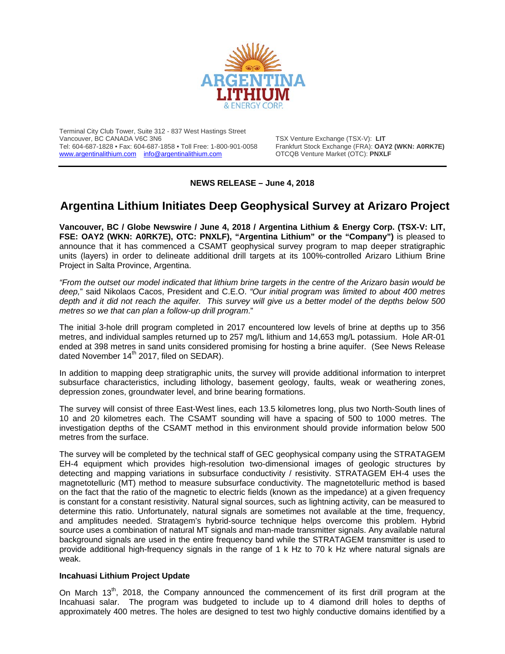

Terminal City Club Tower, Suite 312 - 837 West Hastings Street Tel: 604-687-1828 • Fax: 604-687-1858 • Toll Free: 1-800-901-0058 Frankfurt Stock Exchange (FRA): OAY2<br>
www.argentinalithium.com info@argentinalithium.com OTCQB Venture Market (OTC): PNXLF [www.argentinalithium.com](http://www.argentinalithium.com/) [info@argentinalithium.com](mailto:info@argentinalithium.com)

TSX Venture Exchange (TSX-V): LIT<br>Frankfurt Stock Exchange (FRA): OAY2 (WKN: A0RK7E)

# **NEWS RELEASE – June 4, 2018**

# **Argentina Lithium Initiates Deep Geophysical Survey at Arizaro Project**

**Vancouver, BC / Globe Newswire / June 4, 2018 / Argentina Lithium & Energy Corp. (TSX-V: LIT, FSE: OAY2 (WKN: A0RK7E), OTC: PNXLF), "Argentina Lithium" or the "Company")** is pleased to announce that it has commenced a CSAMT geophysical survey program to map deeper stratigraphic units (layers) in order to delineate additional drill targets at its 100%-controlled Arizaro Lithium Brine Project in Salta Province, Argentina.

*"From the outset our model indicated that lithium brine targets in the centre of the Arizaro basin would be deep,*" said Nikolaos Cacos, President and C.E.O. *"Our initial program was limited to about 400 metres depth and it did not reach the aquifer. This survey will give us a better model of the depths below 500 metres so we that can plan a follow-up drill program*."

The initial 3-hole drill program completed in 2017 encountered low levels of brine at depths up to 356 metres, and individual samples returned up to 257 mg/L lithium and 14,653 mg/L potassium. Hole AR-01 ended at 398 metres in sand units considered promising for hosting a brine aquifer. (See News Release dated November 14<sup>th</sup> 2017, filed on SEDAR).

In addition to mapping deep stratigraphic units, the survey will provide additional information to interpret subsurface characteristics, including lithology, basement geology, faults, weak or weathering zones, depression zones, groundwater level, and brine bearing formations.

The survey will consist of three East-West lines, each 13.5 kilometres long, plus two North-South lines of 10 and 20 kilometres each. The CSAMT sounding will have a spacing of 500 to 1000 metres. The investigation depths of the CSAMT method in this environment should provide information below 500 metres from the surface.

The survey will be completed by the technical staff of GEC geophysical company using the STRATAGEM EH-4 equipment which provides high-resolution two-dimensional images of geologic structures by detecting and mapping variations in subsurface conductivity / resistivity. STRATAGEM EH-4 uses the magnetotelluric (MT) method to measure subsurface conductivity. The magnetotelluric method is based on the fact that the ratio of the magnetic to electric fields (known as the impedance) at a given frequency is constant for a constant resistivity. Natural signal sources, such as lightning activity, can be measured to determine this ratio. Unfortunately, natural signals are sometimes not available at the time, frequency, and amplitudes needed. Stratagem's hybrid-source technique helps overcome this problem. Hybrid source uses a combination of natural MT signals and man-made transmitter signals. Any available natural background signals are used in the entire frequency band while the STRATAGEM transmitter is used to provide additional high-frequency signals in the range of 1 k Hz to 70 k Hz where natural signals are weak.

#### **Incahuasi Lithium Project Update**

On March 13<sup>th</sup>, 2018, the Company announced the commencement of its first drill program at the Incahuasi salar. The program was budgeted to include up to 4 diamond drill holes to depths of approximately 400 metres. The holes are designed to test two highly conductive domains identified by a